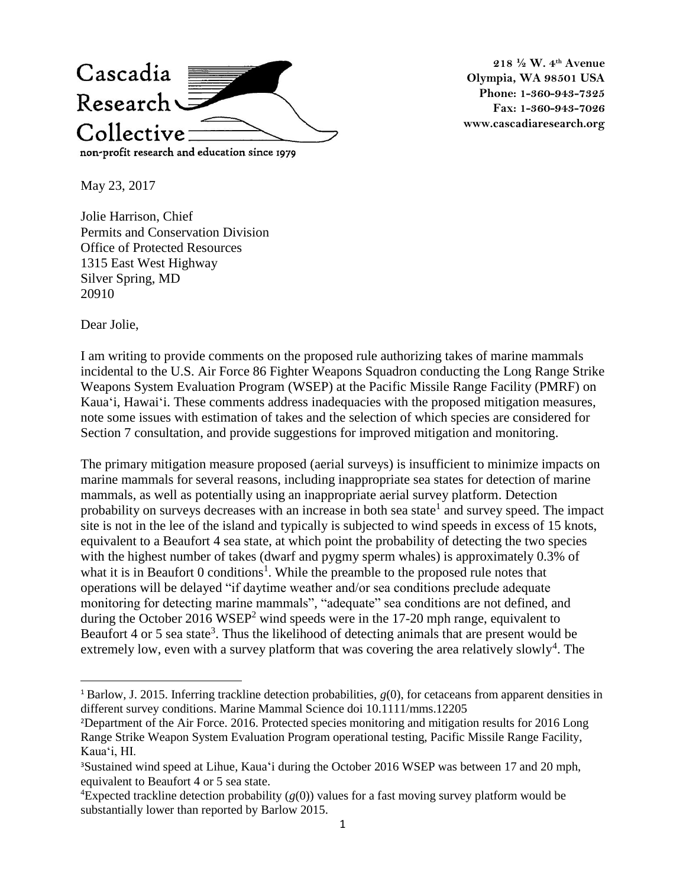

**218 ½ W. 4th Avenue Olympia, WA 98501 USA Phone: 1-360-943-7325 Fax: 1-360-943-7026 www.cascadiaresearch.org**

May 23, 2017

Jolie Harrison, Chief Permits and Conservation Division Office of Protected Resources 1315 East West Highway Silver Spring, MD 20910

Dear Jolie,

 $\overline{a}$ 

I am writing to provide comments on the proposed rule authorizing takes of marine mammals incidental to the U.S. Air Force 86 Fighter Weapons Squadron conducting the Long Range Strike Weapons System Evaluation Program (WSEP) at the Pacific Missile Range Facility (PMRF) on Kaua'i, Hawai'i. These comments address inadequacies with the proposed mitigation measures, note some issues with estimation of takes and the selection of which species are considered for Section 7 consultation, and provide suggestions for improved mitigation and monitoring.

The primary mitigation measure proposed (aerial surveys) is insufficient to minimize impacts on marine mammals for several reasons, including inappropriate sea states for detection of marine mammals, as well as potentially using an inappropriate aerial survey platform. Detection probability on surveys decreases with an increase in both sea state<sup>1</sup> and survey speed. The impact site is not in the lee of the island and typically is subjected to wind speeds in excess of 15 knots, equivalent to a Beaufort 4 sea state, at which point the probability of detecting the two species with the highest number of takes (dwarf and pygmy sperm whales) is approximately 0.3% of what it is in Beaufort  $0$  conditions<sup>1</sup>. While the preamble to the proposed rule notes that operations will be delayed "if daytime weather and/or sea conditions preclude adequate monitoring for detecting marine mammals", "adequate" sea conditions are not defined, and during the October 2016 WSEP<sup>2</sup> wind speeds were in the 17-20 mph range, equivalent to Beaufort 4 or 5 sea state<sup>3</sup>. Thus the likelihood of detecting animals that are present would be extremely low, even with a survey platform that was covering the area relatively slowly<sup>4</sup>. The

<sup>1</sup> Barlow, J. 2015. Inferring trackline detection probabilities, *g*(0), for cetaceans from apparent densities in different survey conditions. Marine Mammal Science doi 10.1111/mms.12205

<sup>2</sup>Department of the Air Force. 2016. Protected species monitoring and mitigation results for 2016 Long Range Strike Weapon System Evaluation Program operational testing, Pacific Missile Range Facility, Kaua'i, HI.

<sup>3</sup>Sustained wind speed at Lihue, Kaua'i during the October 2016 WSEP was between 17 and 20 mph, equivalent to Beaufort 4 or 5 sea state.

<sup>&</sup>lt;sup>4</sup>Expected trackline detection probability  $(g(0))$  values for a fast moving survey platform would be substantially lower than reported by Barlow 2015.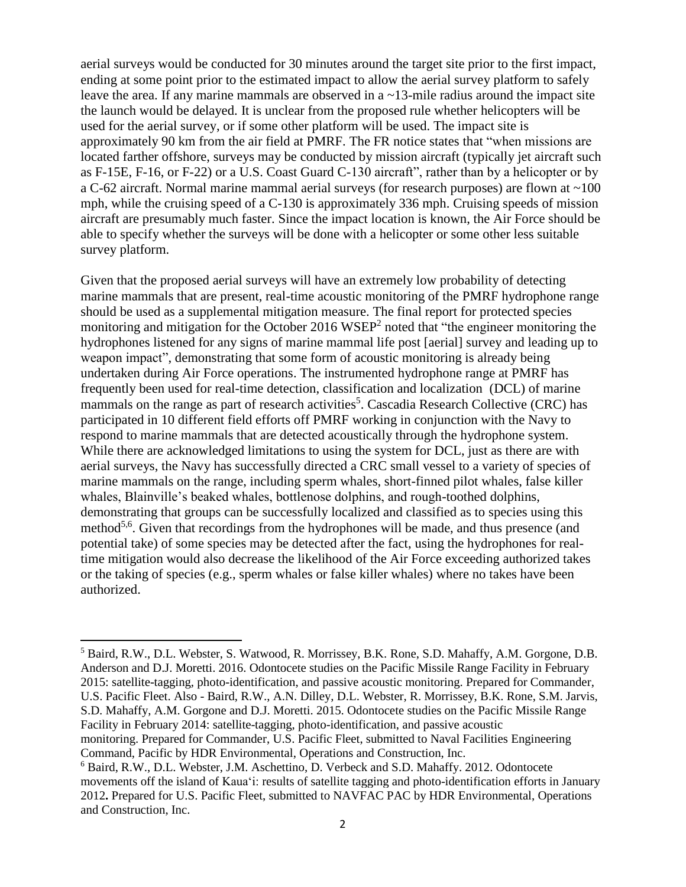aerial surveys would be conducted for 30 minutes around the target site prior to the first impact, ending at some point prior to the estimated impact to allow the aerial survey platform to safely leave the area. If any marine mammals are observed in a  $\sim$ 13-mile radius around the impact site the launch would be delayed. It is unclear from the proposed rule whether helicopters will be used for the aerial survey, or if some other platform will be used. The impact site is approximately 90 km from the air field at PMRF. The FR notice states that "when missions are located farther offshore, surveys may be conducted by mission aircraft (typically jet aircraft such as F-15E, F-16, or F-22) or a U.S. Coast Guard C-130 aircraft", rather than by a helicopter or by a C-62 aircraft. Normal marine mammal aerial surveys (for research purposes) are flown at ~100 mph, while the cruising speed of a C-130 is approximately 336 mph. Cruising speeds of mission aircraft are presumably much faster. Since the impact location is known, the Air Force should be able to specify whether the surveys will be done with a helicopter or some other less suitable survey platform.

Given that the proposed aerial surveys will have an extremely low probability of detecting marine mammals that are present, real-time acoustic monitoring of the PMRF hydrophone range should be used as a supplemental mitigation measure. The final report for protected species monitoring and mitigation for the October 2016 WSEP<sup>2</sup> noted that "the engineer monitoring the hydrophones listened for any signs of marine mammal life post [aerial] survey and leading up to weapon impact", demonstrating that some form of acoustic monitoring is already being undertaken during Air Force operations. The instrumented hydrophone range at PMRF has frequently been used for real-time detection, classification and localization (DCL) of marine mammals on the range as part of research activities<sup>5</sup>. Cascadia Research Collective (CRC) has participated in 10 different field efforts off PMRF working in conjunction with the Navy to respond to marine mammals that are detected acoustically through the hydrophone system. While there are acknowledged limitations to using the system for DCL, just as there are with aerial surveys, the Navy has successfully directed a CRC small vessel to a variety of species of marine mammals on the range, including sperm whales, short-finned pilot whales, false killer whales, Blainville's beaked whales, bottlenose dolphins, and rough-toothed dolphins, demonstrating that groups can be successfully localized and classified as to species using this method<sup>5,6</sup>. Given that recordings from the hydrophones will be made, and thus presence (and potential take) of some species may be detected after the fact, using the hydrophones for realtime mitigation would also decrease the likelihood of the Air Force exceeding authorized takes or the taking of species (e.g., sperm whales or false killer whales) where no takes have been authorized.

Command, Pacific by HDR Environmental, Operations and Construction, Inc.

 $\overline{\phantom{a}}$ 

<sup>5</sup> Baird, R.W., D.L. Webster, S. Watwood, R. Morrissey, B.K. Rone, S.D. Mahaffy, A.M. Gorgone, D.B. Anderson and D.J. Moretti. 2016. Odontocete studies on the Pacific Missile Range Facility in February 2015: satellite-tagging, photo-identification, and passive acoustic monitoring. Prepared for Commander, U.S. Pacific Fleet. Also - Baird, R.W., A.N. Dilley, D.L. Webster, R. Morrissey, B.K. Rone, S.M. Jarvis, S.D. Mahaffy, A.M. Gorgone and D.J. Moretti. 2015. Odontocete studies on the Pacific Missile Range Facility in February 2014: satellite-tagging, photo-identification, and passive acoustic monitoring. Prepared for Commander, U.S. Pacific Fleet, submitted to Naval Facilities Engineering

<sup>6</sup> Baird, R.W., D.L. Webster, J.M. Aschettino, D. Verbeck and S.D. Mahaffy. 2012. Odontocete movements off the island of Kaua'i: results of satellite tagging and photo-identification efforts in January 2012**.** Prepared for U.S. Pacific Fleet, submitted to NAVFAC PAC by HDR Environmental, Operations and Construction, Inc.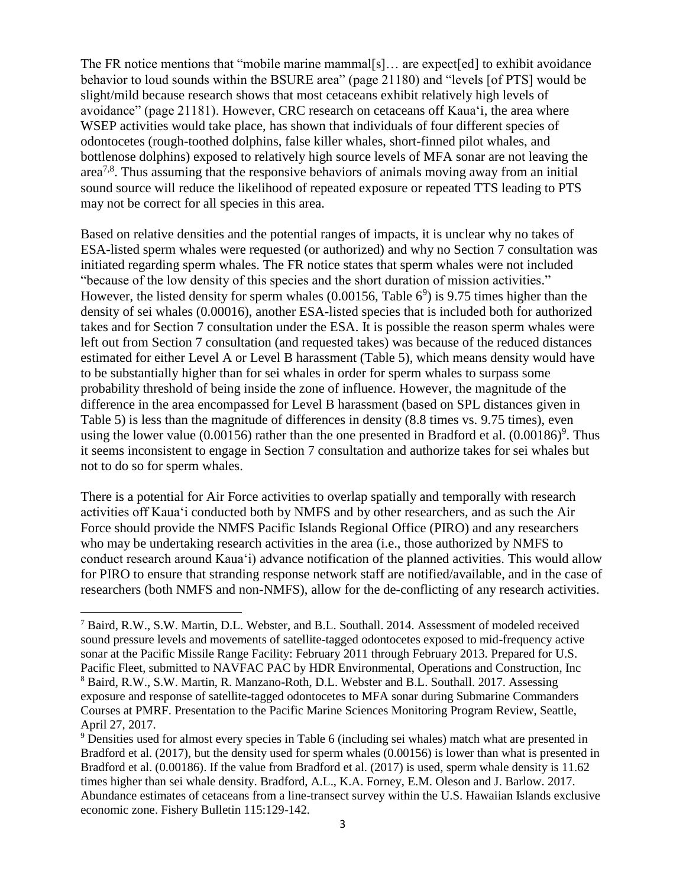The FR notice mentions that "mobile marine mammal[s]… are expect[ed] to exhibit avoidance behavior to loud sounds within the BSURE area" (page 21180) and "levels [of PTS] would be slight/mild because research shows that most cetaceans exhibit relatively high levels of avoidance" (page 21181). However, CRC research on cetaceans off Kaua'i, the area where WSEP activities would take place, has shown that individuals of four different species of odontocetes (rough-toothed dolphins, false killer whales, short-finned pilot whales, and bottlenose dolphins) exposed to relatively high source levels of MFA sonar are not leaving the area<sup>7,8</sup>. Thus assuming that the responsive behaviors of animals moving away from an initial sound source will reduce the likelihood of repeated exposure or repeated TTS leading to PTS may not be correct for all species in this area.

Based on relative densities and the potential ranges of impacts, it is unclear why no takes of ESA-listed sperm whales were requested (or authorized) and why no Section 7 consultation was initiated regarding sperm whales. The FR notice states that sperm whales were not included "because of the low density of this species and the short duration of mission activities." However, the listed density for sperm whales  $(0.00156, \text{Table 6}^9)$  is 9.75 times higher than the density of sei whales (0.00016), another ESA-listed species that is included both for authorized takes and for Section 7 consultation under the ESA. It is possible the reason sperm whales were left out from Section 7 consultation (and requested takes) was because of the reduced distances estimated for either Level A or Level B harassment (Table 5), which means density would have to be substantially higher than for sei whales in order for sperm whales to surpass some probability threshold of being inside the zone of influence. However, the magnitude of the difference in the area encompassed for Level B harassment (based on SPL distances given in Table 5) is less than the magnitude of differences in density (8.8 times vs. 9.75 times), even using the lower value (0.00156) rather than the one presented in Bradford et al.  $(0.00186)^9$ . Thus it seems inconsistent to engage in Section 7 consultation and authorize takes for sei whales but not to do so for sperm whales.

There is a potential for Air Force activities to overlap spatially and temporally with research activities off Kaua'i conducted both by NMFS and by other researchers, and as such the Air Force should provide the NMFS Pacific Islands Regional Office (PIRO) and any researchers who may be undertaking research activities in the area (i.e., those authorized by NMFS to conduct research around Kaua'i) advance notification of the planned activities. This would allow for PIRO to ensure that stranding response network staff are notified/available, and in the case of researchers (both NMFS and non-NMFS), allow for the de-conflicting of any research activities.

 $\overline{\phantom{a}}$ 

<sup>7</sup> Baird, R.W., S.W. Martin, D.L. Webster, and B.L. Southall. 2014. Assessment of modeled received sound pressure levels and movements of satellite-tagged odontocetes exposed to mid-frequency active sonar at the Pacific Missile Range Facility: February 2011 through February 2013. Prepared for U.S. Pacific Fleet, submitted to NAVFAC PAC by HDR Environmental, Operations and Construction, Inc <sup>8</sup> Baird, R.W., S.W. Martin, R. Manzano-Roth, D.L. Webster and B.L. Southall. 2017. Assessing exposure and response of satellite-tagged odontocetes to MFA sonar during Submarine Commanders Courses at PMRF. Presentation to the Pacific Marine Sciences Monitoring Program Review, Seattle, April 27, 2017.

<sup>9</sup> Densities used for almost every species in Table 6 (including sei whales) match what are presented in Bradford et al. (2017), but the density used for sperm whales (0.00156) is lower than what is presented in Bradford et al. (0.00186). If the value from Bradford et al. (2017) is used, sperm whale density is 11.62 times higher than sei whale density. Bradford, A.L., K.A. Forney, E.M. Oleson and J. Barlow. 2017. Abundance estimates of cetaceans from a line-transect survey within the U.S. Hawaiian Islands exclusive economic zone. Fishery Bulletin 115:129-142.